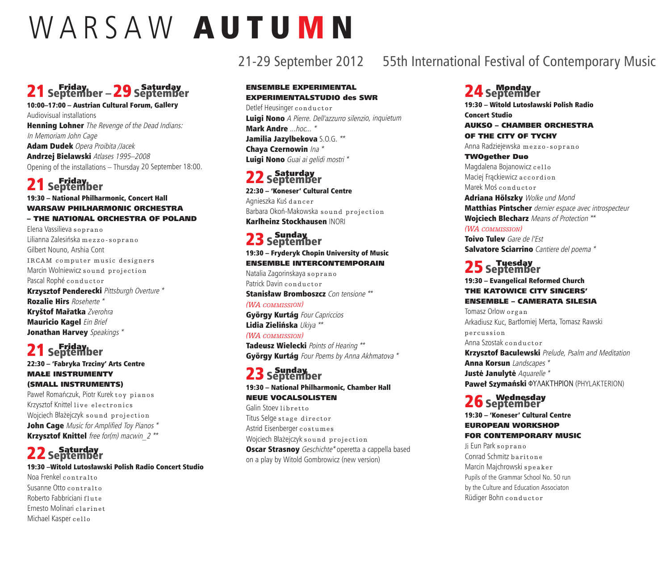# WARSAW AUTUMN

# 21September –29September friday

10:00–17:00 – Austrian Cultural Forum, Gallery Audiovisual installations Henning Lohner The Revenge of the Dead Indians: In Memoriam John Cage Adam Dudek Opera Proibita /Jacek

Andrzej Bielawski Atlases 1995–2008 Opening of the installations – Thursday 20 September 18:00.

### 21 September

19:30 – National Philharmonic, Concert Hall WArSAW PhilhArMOniC OrCheSTrA – The nATiOnAl OrCheSTrA Of POlAnD

Elena Vassilieva s oprano Lilianna Zalesińska mezzo-soprano Gilbert Nouno, Arshia Cont IRCAM computer music designers Marcin Wolniewicz sound projection Pascal Rophé conductor Krzysztof Penderecki Pittsburgh Overture \* Rozalie Hirs Roseherte \* Kryštof Mařatka Zverohra **Mauricio Kagel** Ein Brief Jonathan Harvey Speakings \*

# 21 september

#### 22:30 – 'Fabryka Trzciny' Arts Centre MAŁe inSTrUMenTy (SMAll inSTrUMenTS)

Paweł Romańczuk, Piotr Kurek toy pianos Krzysztof Knittel live electronics Wojciech Błażejczyk s ound projection John Cage Music for Amplified Toy Pianos \* Krzysztof Knittel free for(m) macwin  $2^{**}$ 

### 22 september

19:30 –Witold Lutosławski Polish Radio Concert Studio

Noa Frenkel contralto Susanne Otto contralto Roberto Fabbriciani flut <sup>e</sup> Ernesto Molinari clarinet Michael Kasper cello

# 21-29 September 2012 55th International Festival of Contemporary Music

#### **ENSEMBLE EXPERIMENTAL** eXPeriMenTAlSTUDiO des SWr

Detlef Heusinger conductor Luigi Nono A Pierre. Dell'azzurro silenzio, inquietum Mark Andre ...hoc... \* Jamilia Jazylbekova S.O.G. \*\* Chaya Czernowin Ina \* Luigi Nono Guai ai gelidi mostri \*

# 22 september

22:30 – 'Koneser' Cultural Centre Agnieszka Kuś dancer Barbara Okoń-Makowska s ound projection Karlheinz Stockhausen INORI

### 23 S<sup>eptember</sup>

#### 19:30 – Fryderyk Chopin University of Music enSeMble inTerCOnTeMPOrAin

Natalia Zagorinskaya soprano Patrick Davin conductor

Stanisław Bromboszcz Con tensione \*\* *(WA commission)*

György Kurtág Four Capriccios Lidia Zielińska Ukiya \*\* *(WA commission)*

Tadeusz Wielecki Points of Hearing \*\* György Kurtág Four Poems by Anna Akhmatova \*

# 23 september

19:30 – National Philharmonic, Chamber Hall neUe VOCAlSOliSTen Galin Stoev libretto

Titus Selge stage director Astrid Eisenberger <sup>c</sup> <sup>o</sup> <sup>s</sup> tu <sup>m</sup> <sup>e</sup> <sup>s</sup> Wojciech Błażejczyk sound projection **Oscar Strasnoy** Geschichte\* operetta a cappella based on <sup>a</sup> play by Witold Gombrowicz (new version)

### 24 september

19:30 – Witold Lutosławski Polish Radio Concert Studio AUKSO – ChAMber OrCheSTrA

### Of The CiTy Of TyChy

Anna Radziejewska mezzo-soprano

TWOgether Duo Magdalena Bojanowicz cello Maciej Frackiewicz a c c o r d i o n Marek Moś conductor

Adriana Hölszky Wolke und Mond Matthias Pintscher dernier espace avec introspecteur Wojciech Blecharz Means of Protection \*\*

### *(WA commission)*

Toivo Tuley Gare de l'Est Salvatore Sciarrino Cantiere del poema \*

# 25 september

#### 19:30 – Evangelical Reformed Church The KATOWiCe CiTy SingerS' enSeMble – CAMerATA SileSiA

Tomasz Orlow organ Arkadiusz Kuc, Bartłomiej Merta, Tomasz Rawski p <sup>e</sup> <sup>r</sup> cus <sup>s</sup> i on Anna Szostak conductor **Krzysztof Baculewski** Prelude, Psalm and Meditation Anna Korsun Landscapes \* Justė Janulytė Aquarelle \* Paweł Szymański ΦΥΛΑΚΤΗΡΙΟΝ (PHYLAKTERION)

# 26 september<br>26 september

#### 19:30 – 'Koneser' Cultural Centre eUrOPeAn WOrKShOP fOr COnTeMPOrAry MUSiC

Ji Eun Park soprano Conrad Schmitz baritone Marcin Majchrowski <sup>s</sup> <sup>p</sup> <sup>e</sup> <sup>a</sup> ke <sup>r</sup> Pupils of the Grammar School No. 50 run by the Culture and Education Associaton Rüdiger Bohn conductor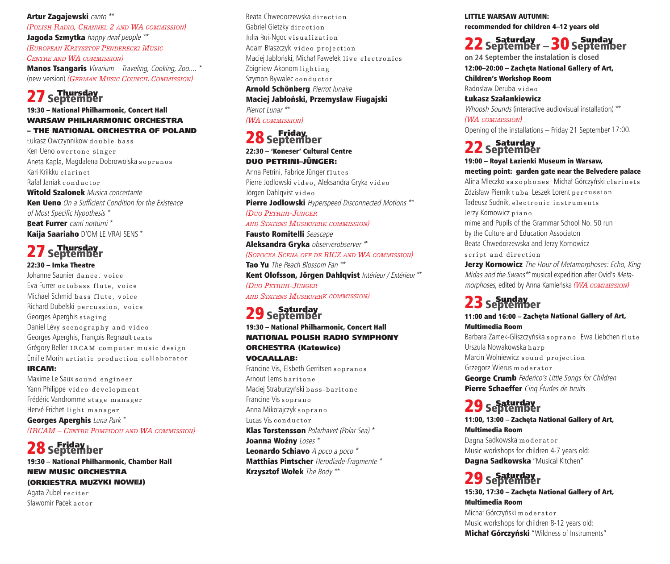Artur Zagajewski canto \*\* *(Polish rADio, chAnnel 2 AnD WA commission)* Jagoda Szmytka happy deaf people \*\* *(euroPeAn krZysZtof PenDerecki music centre AnD WA commission)* Manos Tsangaris Vivarium – Traveling, Cooking, Zoo.... \* (new version) *(germAn music council commission)*

### 27 september

#### 19:30 – National Philharmonic, Concert Hall WArSAW PhilhArMOniC OrCheSTrA – The nATiOnAl OrCheSTrA Of POlAnD

Łukasz Owczynnikow double bass Ken Ueno overtone singer Aneta Kapla, Magdalena Dobrowolska sopranos Kari Kriikku clarinet Rafał Janiak conductor Witold Szalonek Musica concertante **Ken Ueno** On a Sufficient Condition for the Existence of Most Specific Hypothesis \* Beat Furrer canti notturni<sup>\*</sup> Kaija Saariaho D'OM LE VRAI SENS \*

### 27 september 22:30 – Imka Theatre

#### Johanne Saunier dance, voice Eva Furrer octobass flute, voice Michael Schmid bass flute, voice Richard Dubelski percussion, voice Georges Aperghis staging Daniel Lévy scenography and video Georges Aperghis, François Regnault texts Grégory Beller IRCAM computer music design Émilie Morin artistic production collaborator irCAM:

Maxime Le Saux sound engineer Yann Philippe video development Frédéric Vandromme stage manager Hervé Frichet light manager Georges Aperghis Luna Park \* *(ircAm – centre PomPiDou AnD WA commission)*

### 28 september

19:30 – National Philharmonic, Chamber Hall neW MUSiC OrCheSTrA (OrKieSTrA MUZyKi nOWeJ) Agata Zubel reciter Sławomir Pacek a ctor

Beata Chwedorzewska direction Gabriel Gietzky direction Julia Bui-Ngoc visualization Adam Błaszczyk video projection Maciej Jabłoński, Michał Pawełek live electronics Zbigniew Akonom lighting Szymon Bywalec conductor Arnold Schönberg Pierrot lunaire Maciej Jabłoński, Przemysław Fiugajski Pierrot Lunar \*\* *(WA commission)*

### 28 September 22:30 – 'Koneser' Cultural Centre DUO PeTrini–JÜnger:

Anna Petrini, Fabrice Jünger flutes Pierre Jodlowski video, Aleksandra Gryka video Jörgen Dahlqvist video Pierre Jodlowski Hyperspeed Disconnected Motions \*\* *(Duo Petrini-Jünger AnD stAtens musikverk commission)* Fausto Romitelli Seascape Aleksandra Gryka observerobserver \*\* *(soPockA scenA off De BicZ AnD WA commission)*

Tao Yu The Peach Blossom Fan \*\* Kent Olofsson, Jörgen Dahlqvist Intérieur / Extérieur \*\* *(Duo Petrini-Jünger*

#### *AnD stAtens musikverk commission)*

### 29 septurday<br>29 September

19:30 – National Philharmonic, Concert Hall nATiOnAl POliSh rADiO SyMPhOny OrCheSTrA (Katowice) VOCAAllAb:

Francine Vis, Elsbeth Gerritsen <sup>s</sup> <sup>o</sup> <sup>p</sup> <sup>r</sup> ano <sup>s</sup> Arnout Lems baritone Maciej Straburzyński bass-baritone Francine Vis soprano Anna Mikołajczyk soprano Lucas Vis conductor Klas Torstensson Polarhavet (Polar Sea) \* Joanna Woźny Loses<sup>\*</sup> Leonardo Schiavo A poco a poco \* Matthias Pintscher Herodiade-Fragmente \* Krzysztof Wołek The Body \*\*

LITTLE WARSAW AUTUMN: recommended for children 4–12 years old

# 22 september – 30 september

**on 24 September the instalation is closed**

12:00–20:00 – Zachęta National Gallery of Art,

Children's Workshop Room

Radosław Deruba <sup>v</sup> i d <sup>e</sup> <sup>o</sup> Łukasz Szałankiewicz Whoosh Sounds (interactive audiovisual installation) \*\* *(WA commission)* Opening of the installations – Friday 21 September 17:00.

22 September

19:00 – Royal Łazienki Museum in Warsaw, meeting point: garden gate near the Belvedere palace Alina Mleczko saxophones Michał Górczyński clarinets Zdzisław Piernik tuba Leszek Lorent percussion Tadeusz Sudnik, electronic instruments Jerzy Kornowicz piano mime and Pupils of the Grammar School No. 50 run by the Culture and Education Associaton Beata Chwedorzewska and Jerzy Kornowicz script and direction

**Jerzy Kornowicz** The Hour of Metamorphoses: Echo, King Midas and the Swans\*\* musical expedition after Ovid's Metamorphoses, edited by Anna Kamieńska *(WA commission)*

### 23 september

11:00 and 16:00 – Zachęta National Gallery of Art, Multimedia Room

Barbara Zamek-Gliszczyńska soprano Ewa Liebchen flute Urszula Nowakowska <sup>h</sup> <sup>a</sup> <sup>r</sup> <sup>p</sup> Marcin Wolniewicz sound projection Grzegorz Wierus moderator George Crumb Federico's Little Songs for Children Pierre Schaeffer Cinq Études de bruits

### 29 september

11:00, 13:00 – Zachęta National Gallery of Art, Multimedia Room Dagna Sadkowska moderator Music workshops for children 4-7 years old: Dagna Sadkowska "Musical Kitchen"

### 29 september

15:30, 17:30 – Zachęta National Gallery of Art, Multimedia Room

Michał Górczyński moderator Music workshops for children 8-12 years old: **Michał Górczyński** "Wildness of Instruments"